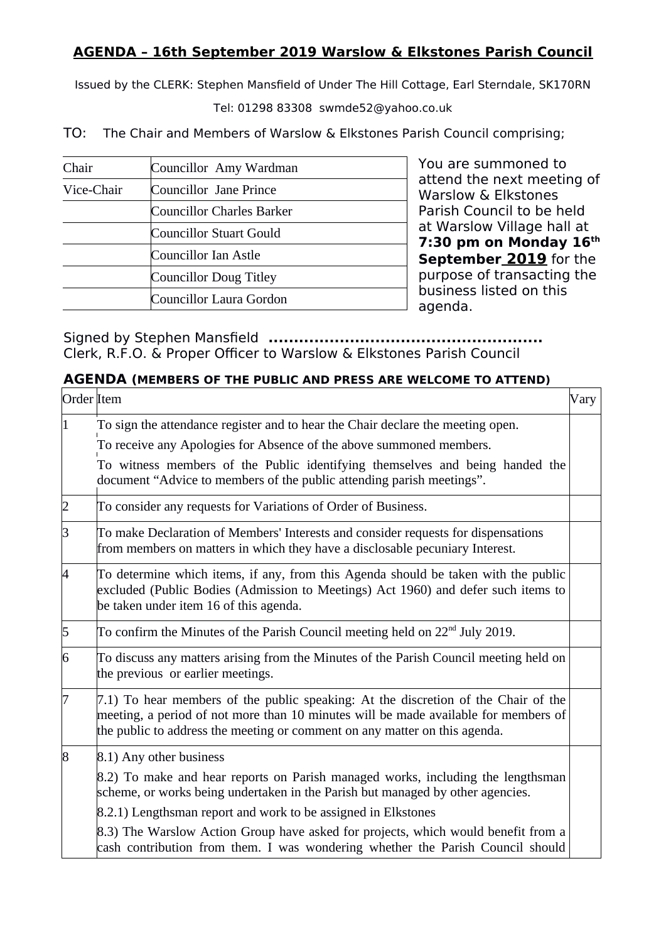## **AGENDA – 16th September 2019 Warslow & Elkstones Parish Council**

Issued by the CLERK: Stephen Mansfield of Under The Hill Cottage, Earl Sterndale, SK170RN

Tel: 01298 83308 swmde52@yahoo.co.uk

TO: The Chair and Members of Warslow & Elkstones Parish Council comprising;

| Chair      | Councillor Amy Wardman    |
|------------|---------------------------|
| Vice-Chair | Councillor Jane Prince    |
|            | Councillor Charles Barker |
|            | Councillor Stuart Gould   |
|            | Councillor Ian Astle      |
|            | Councillor Doug Titley    |
|            | Councillor Laura Gordon   |

You are summoned to attend the next meeting of Warslow & Elkstones Parish Council to be held at Warslow Village hall at **7:30 pm on Monday 16th September 2019** for the purpose of transacting the business listed on this agenda.

Signed by Stephen Mansfield **......................................................** Clerk, R.F.O. & Proper Officer to Warslow & Elkstones Parish Council

## **AGENDA (MEMBERS OF THE PUBLIC AND PRESS ARE WELCOME TO ATTEND)**

| Order Item     |                                                                                                                                                                                                                                                         | Vary |
|----------------|---------------------------------------------------------------------------------------------------------------------------------------------------------------------------------------------------------------------------------------------------------|------|
| 11             | To sign the attendance register and to hear the Chair declare the meeting open.                                                                                                                                                                         |      |
|                | To receive any Apologies for Absence of the above summoned members.                                                                                                                                                                                     |      |
|                | To witness members of the Public identifying themselves and being handed the<br>document "Advice to members of the public attending parish meetings".                                                                                                   |      |
| 2              | To consider any requests for Variations of Order of Business.                                                                                                                                                                                           |      |
| 3              | To make Declaration of Members' Interests and consider requests for dispensations<br>from members on matters in which they have a disclosable pecuniary Interest.                                                                                       |      |
| 4              | To determine which items, if any, from this Agenda should be taken with the public<br>excluded (Public Bodies (Admission to Meetings) Act 1960) and defer such items to<br>be taken under item 16 of this agenda.                                       |      |
| 5              | To confirm the Minutes of the Parish Council meeting held on 22 <sup>nd</sup> July 2019.                                                                                                                                                                |      |
| 6              | To discuss any matters arising from the Minutes of the Parish Council meeting held on<br>the previous or earlier meetings.                                                                                                                              |      |
| 17             | 7.1) To hear members of the public speaking: At the discretion of the Chair of the<br>meeting, a period of not more than 10 minutes will be made available for members of<br>the public to address the meeting or comment on any matter on this agenda. |      |
| $\overline{8}$ | 8.1) Any other business                                                                                                                                                                                                                                 |      |
|                | 8.2) To make and hear reports on Parish managed works, including the lengthsman<br>scheme, or works being undertaken in the Parish but managed by other agencies.                                                                                       |      |
|                | 8.2.1) Lengthsman report and work to be assigned in Elkstones                                                                                                                                                                                           |      |
|                | 8.3) The Warslow Action Group have asked for projects, which would benefit from a<br>cash contribution from them. I was wondering whether the Parish Council should                                                                                     |      |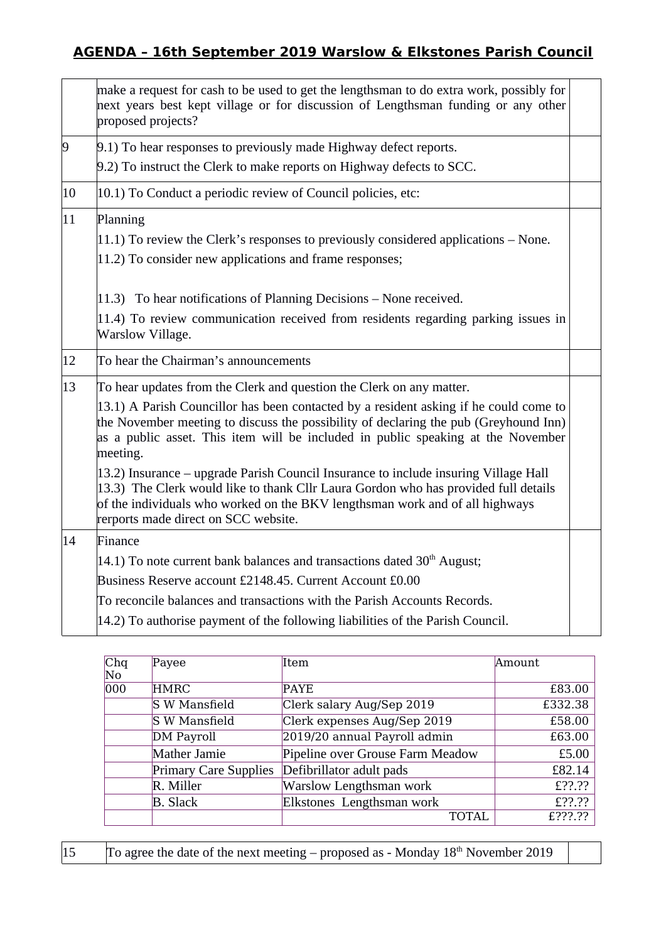## **AGENDA – 16th September 2019 Warslow & Elkstones Parish Council**

|              | make a request for cash to be used to get the lengthsman to do extra work, possibly for<br>next years best kept village or for discussion of Lengthsman funding or any other<br>proposed projects?                                                                                                 |  |
|--------------|----------------------------------------------------------------------------------------------------------------------------------------------------------------------------------------------------------------------------------------------------------------------------------------------------|--|
| $\vert 9$    | 9.1) To hear responses to previously made Highway defect reports.                                                                                                                                                                                                                                  |  |
|              | 9.2) To instruct the Clerk to make reports on Highway defects to SCC.                                                                                                                                                                                                                              |  |
| $ 10\rangle$ | $ 10.1\rangle$ To Conduct a periodic review of Council policies, etc:                                                                                                                                                                                                                              |  |
| $ 11\rangle$ | Planning                                                                                                                                                                                                                                                                                           |  |
|              | $ 11.1\rangle$ To review the Clerk's responses to previously considered applications – None.<br>11.2) To consider new applications and frame responses;                                                                                                                                            |  |
|              | 11.3) To hear notifications of Planning Decisions - None received.                                                                                                                                                                                                                                 |  |
|              | 11.4) To review communication received from residents regarding parking issues in<br>Warslow Village.                                                                                                                                                                                              |  |
| $ 12\rangle$ | To hear the Chairman's announcements                                                                                                                                                                                                                                                               |  |
| 13           | To hear updates from the Clerk and question the Clerk on any matter.                                                                                                                                                                                                                               |  |
|              | 13.1) A Parish Councillor has been contacted by a resident asking if he could come to<br>the November meeting to discuss the possibility of declaring the pub (Greyhound Inn)<br>as a public asset. This item will be included in public speaking at the November<br>meeting.                      |  |
|              | 13.2) Insurance – upgrade Parish Council Insurance to include insuring Village Hall<br>13.3) The Clerk would like to thank Cllr Laura Gordon who has provided full details<br>of the individuals who worked on the BKV lengthsman work and of all highways<br>rerports made direct on SCC website. |  |
| 14           | Finance                                                                                                                                                                                                                                                                                            |  |
|              | 14.1) To note current bank balances and transactions dated $30th$ August;                                                                                                                                                                                                                          |  |
|              | Business Reserve account £2148.45. Current Account £0.00                                                                                                                                                                                                                                           |  |
|              | To reconcile balances and transactions with the Parish Accounts Records.                                                                                                                                                                                                                           |  |
|              | 14.2) To authorise payment of the following liabilities of the Parish Council.                                                                                                                                                                                                                     |  |

| Chq<br>No | Payee                        | Item                             | Amount  |
|-----------|------------------------------|----------------------------------|---------|
| 000       | <b>HMRC</b>                  | <b>PAYE</b>                      | £83.00  |
|           | S W Mansfield                | Clerk salary Aug/Sep 2019        | £332.38 |
|           | S W Mansfield                | Clerk expenses Aug/Sep 2019      | £58.00  |
|           | DM Payroll                   | 2019/20 annual Payroll admin     | £63.00  |
|           | Mather Jamie                 | Pipeline over Grouse Farm Meadow | £5.00   |
|           | <b>Primary Care Supplies</b> | Defibrillator adult pads         | £82.14  |
|           | R. Miller                    | Warslow Lengthsman work          | £??.??  |
|           | <b>B.</b> Slack              | Elkstones Lengthsman work        | £??.??  |
|           |                              | <b>TOTAL</b>                     | £???.?? |

| 15 | To agree the date of the next meeting – proposed as - Monday $18th$ November 2019 |
|----|-----------------------------------------------------------------------------------|
|    |                                                                                   |